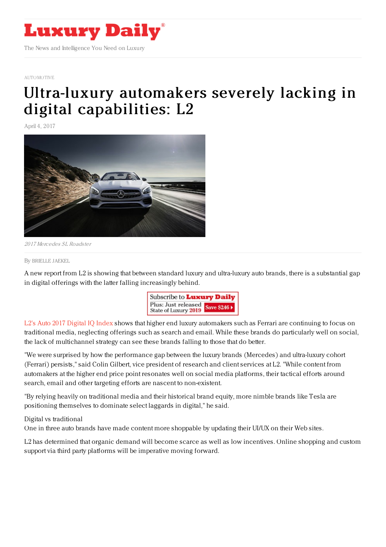

#### [AUTOMOTIVE](https://www.luxurydaily.com/category/automotive)

# Ultra-luxury automakers severely lacking in digital [capabilities:](https://www.luxurydaily.com/ultra-luxury-automakers-severely-lacking-in-digital-capabilities-l2/) L2

April 4, 2017



2017 Mercedes SL Roadster

By [BRIELLE](file:///author/brielle-jaekel) JAEKEL

A new report from L2 is showing that between standard luxury and ultra-luxury auto brands, there is a substantial gap in digital offerings with the latter falling increasingly behind.



L2's Auto 2017 [Digital](file:///Users/mickeyalamkhan/Downloads/Digital-IQ-Index-Auto-2017-EXCERPT-2.pdf) IQ Index shows that higher end luxury automakers such as Ferrari are continuing to focus on traditional media, neglecting offerings such as search and email. While these brands do particularly well on social, the lack of multichannel strategy can see these brands falling to those that do better.

"We were surprised by how the performance gap between the luxury brands (Mercedes) and ultra-luxury cohort (Ferrari) persists," said Colin Gilbert, vice president of research and client services at L2. "While content from automakers at the higher end price point resonates well on social media platforms, their tactical efforts around search, email and other targeting efforts are nascent to non-existent.

"By relying heavily on traditional media and their historical brand equity, more nimble brands like Tesla are positioning themselves to dominate select laggards in digital," he said.

#### Digital vs traditional

One in three auto brands have made content more shoppable by updating their UI/UX on their Web sites.

L2 has determined that organic demand will become scarce as well as low incentives. Online shopping and custom support via third party platforms will be imperative moving forward.